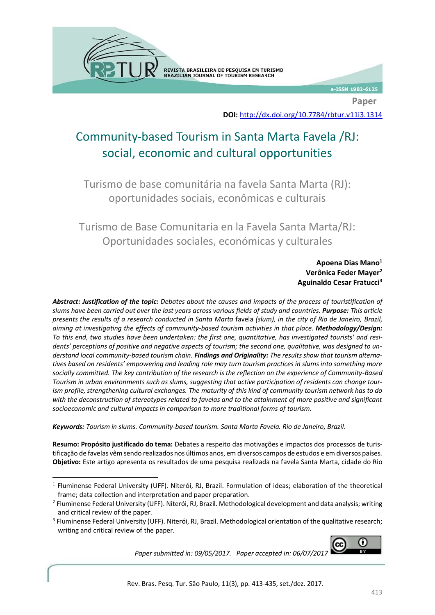REVISTA BRASILEIRA DE PESQUISA EM TURISMO BRAZILIAN JOURNAL OF TOURISM RESEARCH

e-ISSN 1982-6125

**Paper**

**DOI:** <http://dx.doi.org/10.7784/rbtur.v11i3.1314>

# Community-based Tourism in Santa Marta Favela /RJ: social, economic and cultural opportunities

Turismo de base comunitária na favela Santa Marta (RJ): oportunidades sociais, econômicas e culturais

Turismo de Base Comunitaria en la Favela Santa Marta/RJ: Oportunidades sociales, económicas y culturales

> **Apoena Dias Mano<sup>1</sup> Verônica Feder Mayer<sup>2</sup> Aguinaldo Cesar Fratucci<sup>3</sup>**

*Abstract: Justification of the topic: Debates about the causes and impacts of the process of touristification of slums have been carried out over the last years across various fields of study and countries. Purpose: This article presents the results of a research conducted in Santa Marta* favela *(slum), in the city of Rio de Janeiro, Brazil, aiming at investigating the effects of community-based tourism activities in that place. Methodology/Design: To this end, two studies have been undertaken: the first one, quantitative, has investigated tourists' and residents' perceptions of positive and negative aspects of tourism; the second one, qualitative, was designed to understand local community-based tourism chain. Findings and Originality: The results show that tourism alternatives based on residents' empowering and leading role may turn tourism practices in slums into something more socially committed. The key contribution of the research is the reflection on the experience of Community-Based Tourism in urban environments such as slums, suggesting that active participation of residents can change tourism profile, strengthening cultural exchanges. The maturity of this kind of community tourism network has to do with the deconstruction of stereotypes related to favelas and to the attainment of more positive and significant socioeconomic and cultural impacts in comparison to more traditional forms of tourism.*

*Keywords: Tourism in slums. Community-based tourism. Santa Marta Favela. Rio de Janeiro, Brazil.*

**Resumo: Propósito justificado do tema:** Debates a respeito das motivações e impactos dos processos de turistificação de favelas vêm sendo realizados nos últimos anos, em diversos campos de estudos e em diversos países. **Objetivo:** Este artigo apresenta os resultados de uma pesquisa realizada na favela Santa Marta, cidade do Rio

લ્ટિ ∩

*Paper submitted in: 09/05/2017. Paper accepted in: 06/07/2017*

<sup>1</sup> <sup>1</sup> Fluminense Federal University (UFF). Niterói, RJ, Brazil. Formulation of ideas; elaboration of the theoretical frame; data collection and interpretation and paper preparation.

<sup>&</sup>lt;sup>2</sup> Fluminense Federal University (UFF). Niterói, RJ, Brazil. Methodological development and data analysis; writing and critical review of the paper.

<sup>&</sup>lt;sup>3</sup> Fluminense Federal University (UFF). Niterói, RJ, Brazil. Methodological orientation of the qualitative research; writing and critical review of the paper.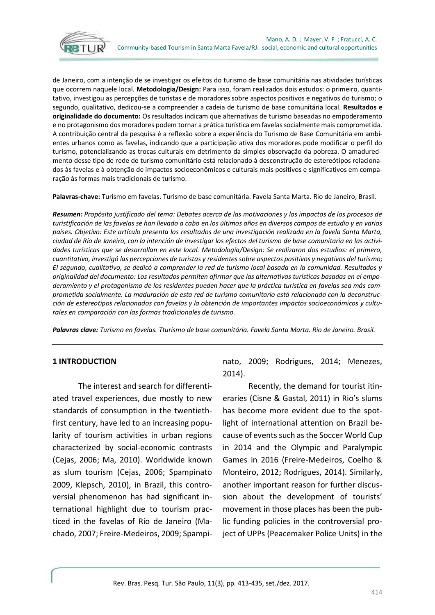

de Janeiro, com a intenção de se investigar os efeitos do turismo de base comunitária nas atividades turísticas que ocorrem naquele local. **Metodologia/Design:** Para isso, foram realizados dois estudos: o primeiro, quantitativo, investigou as percepções de turistas e de moradores sobre aspectos positivos e negativos do turismo; o segundo, qualitativo, dedicou-se a compreender a cadeia de turismo de base comunitária local. **Resultados e originalidade do documento:** Os resultados indicam que alternativas de turismo baseadas no empoderamento e no protagonismo dos moradores podem tornar a prática turística em favelas socialmente mais comprometida. A contribuição central da pesquisa é a reflexão sobre a experiência do Turismo de Base Comunitária em ambientes urbanos como as favelas, indicando que a participação ativa dos moradores pode modificar o perfil do turismo, potencializando as trocas culturais em detrimento da simples observação da pobreza. O amadurecimento desse tipo de rede de turismo comunitário está relacionado à desconstrução de estereótipos relacionados às favelas e à obtenção de impactos socioeconômicos e culturais mais positivos e significativos em comparação às formas mais tradicionais de turismo.

**Palavras-chave:** Turismo em favelas. Turismo de base comunitária. Favela Santa Marta. Rio de Janeiro, Brasil.

*Resumen: Propósito justificado del tema: Debates acerca de las motivaciones y los impactos de los procesos de turistificación de las favelas se han llevado a cabo en los últimos años en diversos campos de estudio y en varios países. Objetivo: Este artículo presenta los resultados de una investigación realizada en la favela Santa Marta, ciudad de Río de Janeiro, con la intención de investigar los efectos del turismo de base comunitaria en las actividades turísticas que se desarrollan en este local. Metodología/Design: Se realizaron dos estudios: el primero, cuantitativo, investigó las percepciones de turistas y residentes sobre aspectos positivos y negativos del turismo; El segundo, cualitativo, se dedicó a comprender la red de turismo local basada en la comunidad. Resultados y originalidad del documento: Los resultados permiten afirmar que las alternativas turísticas basadas en el empoderamiento y el protagonismo de los residentes pueden hacer que la práctica turística en favelas sea más comprometida socialmente. La maduración de esta red de turismo comunitario está relacionada con la deconstrucción de estereotipos relacionados con favelas y la obtención de importantes impactos socioeconómicos y culturales en comparación con las formas tradicionales de turismo.*

*Palavras clave: Turismo en favelas. Tturismo de base comunitária. Favela Santa Marta. Rio de Janeiro. Brasil.*

#### **1 INTRODUCTION**

The interest and search for differentiated travel experiences, due mostly to new standards of consumption in the twentiethfirst century, have led to an increasing popularity of tourism activities in urban regions characterized by social-economic contrasts (Cejas, 2006; Ma, 2010). Worldwide known as slum tourism (Cejas, 2006; Spampinato 2009, Klepsch, 2010), in Brazil, this controversial phenomenon has had significant international highlight due to tourism practiced in the favelas of Rio de Janeiro (Machado, 2007; Freire-Medeiros, 2009; Spampinato, 2009; Rodrigues, 2014; Menezes, 2014).

Recently, the demand for tourist itineraries (Cisne & Gastal, 2011) in Rio's slums has become more evident due to the spotlight of international attention on Brazil because of events such as the Soccer World Cup in 2014 and the Olympic and Paralympic Games in 2016 (Freire-Medeiros, Coelho & Monteiro, 2012; Rodrigues, 2014). Similarly, another important reason for further discussion about the development of tourists' movement in those places has been the public funding policies in the controversial project of UPPs (Peacemaker Police Units) in the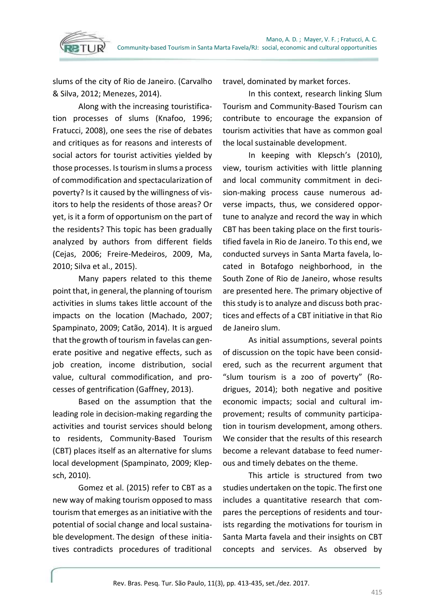

slums of the city of Rio de Janeiro. (Carvalho & Silva, 2012; Menezes, 2014).

Along with the increasing touristification processes of slums (Knafoo, 1996; Fratucci, 2008), one sees the rise of debates and critiques as for reasons and interests of social actors for tourist activities yielded by those processes. Istourism in slums a process of commodification and spectacularization of poverty? Is it caused by the willingness of visitors to help the residents of those areas? Or yet, is it a form of opportunism on the part of the residents? This topic has been gradually analyzed by authors from different fields (Cejas, 2006; Freire-Medeiros, 2009, Ma, 2010; Silva et al., 2015).

Many papers related to this theme point that, in general, the planning of tourism activities in slums takes little account of the impacts on the location (Machado, 2007; Spampinato, 2009; Catão, 2014). It is argued that the growth of tourism in favelas can generate positive and negative effects, such as job creation, income distribution, social value, cultural commodification, and processes of gentrification (Gaffney, 2013).

Based on the assumption that the leading role in decision-making regarding the activities and tourist services should belong to residents, Community-Based Tourism (CBT) places itself as an alternative for slums local development (Spampinato, 2009; Klepsch, 2010).

Gomez et al. (2015) refer to CBT as a new way of making tourism opposed to mass tourism that emerges as an initiative with the potential of social change and local sustainable development. The design of these initiatives contradicts procedures of traditional

travel, dominated by market forces.

In this context, research linking Slum Tourism and Community-Based Tourism can contribute to encourage the expansion of tourism activities that have as common goal the local sustainable development.

In keeping with Klepsch's (2010), view, tourism activities with little planning and local community commitment in decision-making process cause numerous adverse impacts, thus, we considered opportune to analyze and record the way in which CBT has been taking place on the first touristified favela in Rio de Janeiro. To this end, we conducted surveys in Santa Marta favela, located in Botafogo neighborhood, in the South Zone of Rio de Janeiro, whose results are presented here. The primary objective of this study is to analyze and discuss both practices and effects of a CBT initiative in that Rio de Janeiro slum.

As initial assumptions, several points of discussion on the topic have been considered, such as the recurrent argument that "slum tourism is a zoo of poverty" (Rodrigues, 2014); both negative and positive economic impacts; social and cultural improvement; results of community participation in tourism development, among others. We consider that the results of this research become a relevant database to feed numerous and timely debates on the theme.

This article is structured from two studies undertaken on the topic. The first one includes a quantitative research that compares the perceptions of residents and tourists regarding the motivations for tourism in Santa Marta favela and their insights on CBT concepts and services. As observed by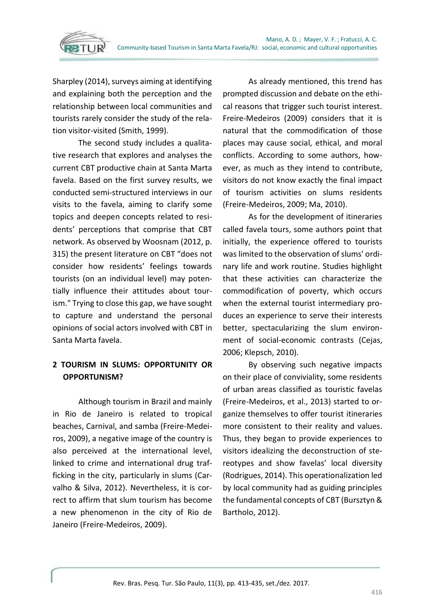

Sharpley (2014), surveys aiming at identifying and explaining both the perception and the relationship between local communities and tourists rarely consider the study of the relation visitor-visited (Smith, 1999).

The second study includes a qualitative research that explores and analyses the current CBT productive chain at Santa Marta favela. Based on the first survey results, we conducted semi-structured interviews in our visits to the favela, aiming to clarify some topics and deepen concepts related to residents' perceptions that comprise that CBT network. As observed by Woosnam (2012, p. 315) the present literature on CBT "does not consider how residents' feelings towards tourists (on an individual level) may potentially influence their attitudes about tourism." Trying to close this gap, we have sought to capture and understand the personal opinions of social actors involved with CBT in Santa Marta favela.

## **2 TOURISM IN SLUMS: OPPORTUNITY OR OPPORTUNISM?**

Although tourism in Brazil and mainly in Rio de Janeiro is related to tropical beaches, Carnival, and samba (Freire-Medeiros, 2009), a negative image of the country is also perceived at the international level, linked to crime and international drug trafficking in the city, particularly in slums (Carvalho & Silva, 2012). Nevertheless, it is correct to affirm that slum tourism has become a new phenomenon in the city of Rio de Janeiro (Freire-Medeiros, 2009).

As already mentioned, this trend has prompted discussion and debate on the ethical reasons that trigger such tourist interest. Freire-Medeiros (2009) considers that it is natural that the commodification of those places may cause social, ethical, and moral conflicts. According to some authors, however, as much as they intend to contribute, visitors do not know exactly the final impact of tourism activities on slums residents (Freire-Medeiros, 2009; Ma, 2010).

As for the development of itineraries called favela tours, some authors point that initially, the experience offered to tourists was limited to the observation of slums' ordinary life and work routine. Studies highlight that these activities can characterize the commodification of poverty, which occurs when the external tourist intermediary produces an experience to serve their interests better, spectacularizing the slum environment of social-economic contrasts (Cejas, 2006; Klepsch, 2010).

By observing such negative impacts on their place of conviviality, some residents of urban areas classified as touristic favelas (Freire-Medeiros, et al., 2013) started to organize themselves to offer tourist itineraries more consistent to their reality and values. Thus, they began to provide experiences to visitors idealizing the deconstruction of stereotypes and show favelas' local diversity (Rodrigues, 2014). This operationalization led by local community had as guiding principles the fundamental concepts of CBT (Bursztyn & Bartholo, 2012).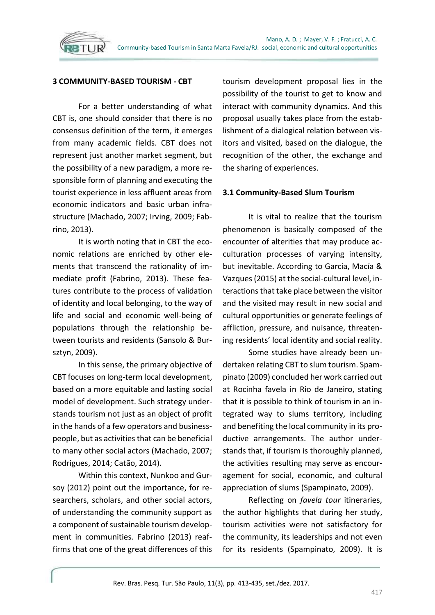

For a better understanding of what CBT is, one should consider that there is no consensus definition of the term, it emerges from many academic fields. CBT does not represent just another market segment, but the possibility of a new paradigm, a more responsible form of planning and executing the tourist experience in less affluent areas from economic indicators and basic urban infrastructure (Machado, 2007; Irving, 2009; Fabrino, 2013).

It is worth noting that in CBT the economic relations are enriched by other elements that transcend the rationality of immediate profit (Fabrino, 2013). These features contribute to the process of validation of identity and local belonging, to the way of life and social and economic well-being of populations through the relationship between tourists and residents (Sansolo & Bursztyn, 2009).

In this sense, the primary objective of CBT focuses on long-term local development, based on a more equitable and lasting social model of development. Such strategy understands tourism not just as an object of profit in the hands of a few operators and businesspeople, but as activities that can be beneficial to many other social actors (Machado, 2007; Rodrigues, 2014; Catão, 2014).

Within this context, Nunkoo and Gursoy (2012) point out the importance, for researchers, scholars, and other social actors, of understanding the community support as a component of sustainable tourism development in communities. Fabrino (2013) reaffirms that one of the great differences of this tourism development proposal lies in the possibility of the tourist to get to know and interact with community dynamics. And this proposal usually takes place from the establishment of a dialogical relation between visitors and visited, based on the dialogue, the recognition of the other, the exchange and the sharing of experiences.

## **3.1 Community-Based Slum Tourism**

It is vital to realize that the tourism phenomenon is basically composed of the encounter of alterities that may produce acculturation processes of varying intensity, but inevitable. According to Garcia, Macía & Vazques (2015) at the social-cultural level, interactions that take place between the visitor and the visited may result in new social and cultural opportunities or generate feelings of affliction, pressure, and nuisance, threatening residents' local identity and social reality.

Some studies have already been undertaken relating CBT to slum tourism. Spampinato (2009) concluded her work carried out at Rocinha favela in Rio de Janeiro, stating that it is possible to think of tourism in an integrated way to slums territory, including and benefiting the local community in its productive arrangements. The author understands that, if tourism is thoroughly planned, the activities resulting may serve as encouragement for social, economic, and cultural appreciation of slums (Spampinato, 2009).

Reflecting on *favela tour* itineraries, the author highlights that during her study, tourism activities were not satisfactory for the community, its leaderships and not even for its residents (Spampinato, 2009). It is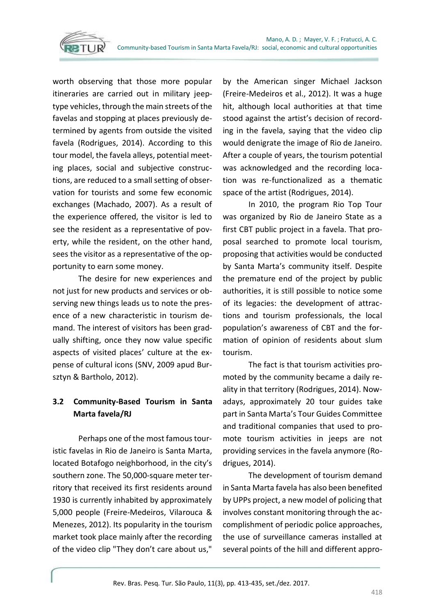

worth observing that those more popular itineraries are carried out in military jeeptype vehicles, through the main streets of the favelas and stopping at places previously determined by agents from outside the visited favela (Rodrigues, 2014). According to this tour model, the favela alleys, potential meeting places, social and subjective constructions, are reduced to a small setting of observation for tourists and some few economic exchanges (Machado, 2007). As a result of the experience offered, the visitor is led to see the resident as a representative of poverty, while the resident, on the other hand, sees the visitor as a representative of the opportunity to earn some money.

The desire for new experiences and not just for new products and services or observing new things leads us to note the presence of a new characteristic in tourism demand. The interest of visitors has been gradually shifting, once they now value specific aspects of visited places' culture at the expense of cultural icons (SNV, 2009 apud Bursztyn & Bartholo, 2012).

## **3.2 Community-Based Tourism in Santa Marta favela/RJ**

Perhaps one of the most famous touristic favelas in Rio de Janeiro is Santa Marta, located Botafogo neighborhood, in the city's southern zone. The 50,000-square meter territory that received its first residents around 1930 is currently inhabited by approximately 5,000 people (Freire-Medeiros, Vilarouca & Menezes, 2012). Its popularity in the tourism market took place mainly after the recording of the video clip "They don't care about us,"

by the American singer Michael Jackson (Freire-Medeiros et al., 2012). It was a huge hit, although local authorities at that time stood against the artist's decision of recording in the favela, saying that the video clip would denigrate the image of Rio de Janeiro. After a couple of years, the tourism potential was acknowledged and the recording location was re-functionalized as a thematic space of the artist (Rodrigues, 2014).

In 2010, the program Rio Top Tour was organized by Rio de Janeiro State as a first CBT public project in a favela. That proposal searched to promote local tourism, proposing that activities would be conducted by Santa Marta's community itself. Despite the premature end of the project by public authorities, it is still possible to notice some of its legacies: the development of attractions and tourism professionals, the local population's awareness of CBT and the formation of opinion of residents about slum tourism.

The fact is that tourism activities promoted by the community became a daily reality in that territory (Rodrigues, 2014). Nowadays, approximately 20 tour guides take part in Santa Marta's Tour Guides Committee and traditional companies that used to promote tourism activities in jeeps are not providing services in the favela anymore (Rodrigues, 2014).

The development of tourism demand in Santa Marta favela has also been benefited by UPPs project, a new model of policing that involves constant monitoring through the accomplishment of periodic police approaches, the use of surveillance cameras installed at several points of the hill and different appro-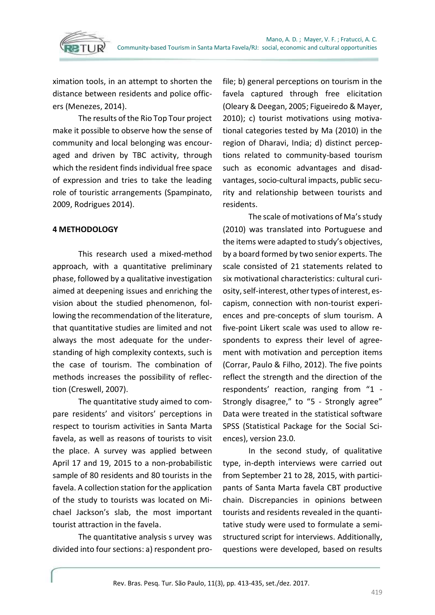

ximation tools, in an attempt to shorten the distance between residents and police officers (Menezes, 2014).

The results of the Rio Top Tour project make it possible to observe how the sense of community and local belonging was encouraged and driven by TBC activity, through which the resident finds individual free space of expression and tries to take the leading role of touristic arrangements (Spampinato, 2009, Rodrigues 2014).

## **4 METHODOLOGY**

This research used a mixed-method approach, with a quantitative preliminary phase, followed by a qualitative investigation aimed at deepening issues and enriching the vision about the studied phenomenon, following the recommendation of the literature, that quantitative studies are limited and not always the most adequate for the understanding of high complexity contexts, such is the case of tourism. The combination of methods increases the possibility of reflection (Creswell, 2007).

The quantitative study aimed to compare residents' and visitors' perceptions in respect to tourism activities in Santa Marta favela, as well as reasons of tourists to visit the place. A survey was applied between April 17 and 19, 2015 to a non-probabilistic sample of 80 residents and 80 tourists in the favela. A collection station for the application of the study to tourists was located on Michael Jackson's slab, the most important tourist attraction in the favela.

The quantitative analysis s urvey was divided into four sections: a) respondent profile; b) general perceptions on tourism in the favela captured through free elicitation (Oleary & Deegan, 2005; Figueiredo & Mayer, 2010); c) tourist motivations using motivational categories tested by Ma (2010) in the region of Dharavi, India; d) distinct perceptions related to community-based tourism such as economic advantages and disadvantages, socio-cultural impacts, public security and relationship between tourists and residents.

The scale of motivations of Ma's study (2010) was translated into Portuguese and the items were adapted to study's objectives, by a board formed by two senior experts. The scale consisted of 21 statements related to six motivational characteristics: cultural curiosity, self-interest, other types of interest, escapism, connection with non-tourist experiences and pre-concepts of slum tourism. A five-point Likert scale was used to allow respondents to express their level of agreement with motivation and perception items (Corrar, Paulo & Filho, 2012). The five points reflect the strength and the direction of the respondents' reaction, ranging from "1 - Strongly disagree," to "5 - Strongly agree" Data were treated in the statistical software SPSS (Statistical Package for the Social Sciences), version 23.0.

In the second study, of qualitative type, in-depth interviews were carried out from September 21 to 28, 2015, with participants of Santa Marta favela CBT productive chain. Discrepancies in opinions between tourists and residents revealed in the quantitative study were used to formulate a semistructured script for interviews. Additionally, questions were developed, based on results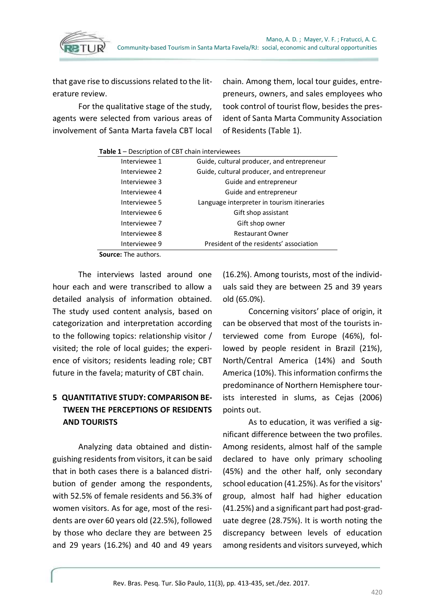

that gave rise to discussions related to the literature review.

For the qualitative stage of the study, agents were selected from various areas of involvement of Santa Marta favela CBT local chain. Among them, local tour guides, entrepreneurs, owners, and sales employees who took control of tourist flow, besides the president of Santa Marta Community Association of Residents (Table 1).

| <b>Table 1</b> – Description of CBT chain interviewees |                                             |  |  |  |  |
|--------------------------------------------------------|---------------------------------------------|--|--|--|--|
| Interviewee 1                                          | Guide, cultural producer, and entrepreneur  |  |  |  |  |
| Interviewee 2                                          | Guide, cultural producer, and entrepreneur  |  |  |  |  |
| Interviewee 3                                          | Guide and entrepreneur                      |  |  |  |  |
| Interviewee 4                                          | Guide and entrepreneur                      |  |  |  |  |
| Interviewee 5                                          | Language interpreter in tourism itineraries |  |  |  |  |
| Interviewee 6                                          | Gift shop assistant                         |  |  |  |  |
| Interviewee 7                                          | Gift shop owner                             |  |  |  |  |
| Interviewee 8                                          | <b>Restaurant Owner</b>                     |  |  |  |  |
| Interviewee 9                                          | President of the residents' association     |  |  |  |  |
| <b>Source:</b> The authors.                            |                                             |  |  |  |  |

The interviews lasted around one hour each and were transcribed to allow a detailed analysis of information obtained. The study used content analysis, based on categorization and interpretation according to the following topics: relationship visitor / visited; the role of local guides; the experience of visitors; residents leading role; CBT

# **5 QUANTITATIVE STUDY: COMPARISON BE-TWEEN THE PERCEPTIONS OF RESIDENTS AND TOURISTS**

future in the favela; maturity of CBT chain.

Analyzing data obtained and distinguishing residents from visitors, it can be said that in both cases there is a balanced distribution of gender among the respondents, with 52.5% of female residents and 56.3% of women visitors. As for age, most of the residents are over 60 years old (22.5%), followed by those who declare they are between 25 and 29 years (16.2%) and 40 and 49 years

(16.2%). Among tourists, most of the individuals said they are between 25 and 39 years old (65.0%).

Concerning visitors' place of origin, it can be observed that most of the tourists interviewed come from Europe (46%), followed by people resident in Brazil (21%), North/Central America (14%) and South America (10%). This information confirms the predominance of Northern Hemisphere tourists interested in slums, as Cejas (2006) points out.

As to education, it was verified a significant difference between the two profiles. Among residents, almost half of the sample declared to have only primary schooling (45%) and the other half, only secondary school education (41.25%). As for the visitors' group, almost half had higher education (41.25%) and a significant part had post-graduate degree (28.75%). It is worth noting the discrepancy between levels of education among residents and visitors surveyed, which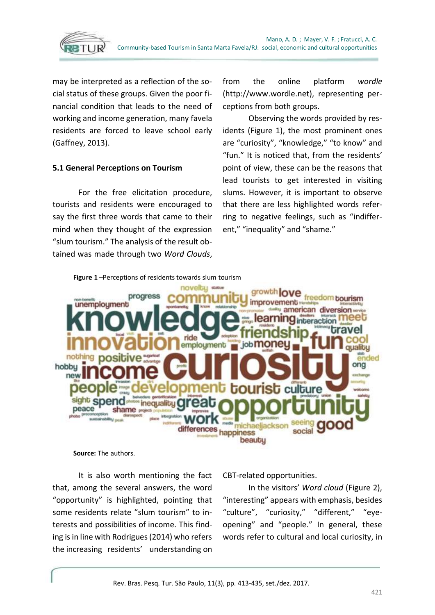

may be interpreted as a reflection of the social status of these groups. Given the poor financial condition that leads to the need of working and income generation, many favela residents are forced to leave school early (Gaffney, 2013).

#### **5.1 General Perceptions on Tourism**

For the free elicitation procedure, tourists and residents were encouraged to say the first three words that came to their mind when they thought of the expression "slum tourism." The analysis of the result obtained was made through two *Word Clouds*,

from the online platform *wordle* (http://www.wordle.net), representing perceptions from both groups.

Observing the words provided by residents (Figure 1), the most prominent ones are "curiosity", "knowledge," "to know" and "fun." It is noticed that, from the residents' point of view, these can be the reasons that lead tourists to get interested in visiting slums. However, it is important to observe that there are less highlighted words referring to negative feelings, such as "indifferent," "inequality" and "shame."



**Source:** The authors.

It is also worth mentioning the fact that, among the several answers, the word "opportunity" is highlighted, pointing that some residents relate "slum tourism" to interests and possibilities of income. This finding is in line with Rodrigues (2014) who refers the increasing residents' understanding on

CBT-related opportunities.

In the visitors' *Word cloud* (Figure 2), "interesting" appears with emphasis, besides "culture", "curiosity," "different," "eyeopening" and "people." In general, these words refer to cultural and local curiosity, in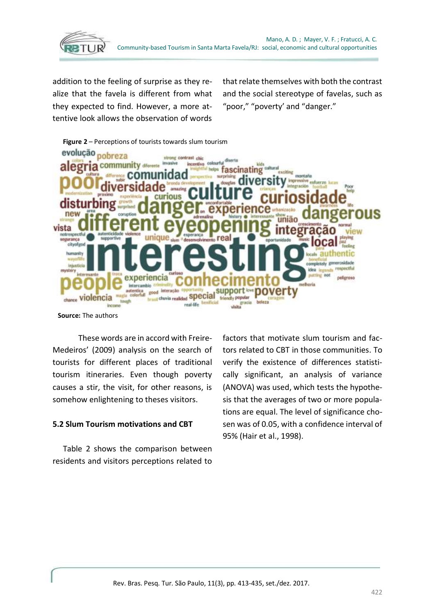

addition to the feeling of surprise as they realize that the favela is different from what they expected to find. However, a more attentive look allows the observation of words

that relate themselves with both the contrast and the social stereotype of favelas, such as "poor," "poverty' and "danger."



**Source:** The authors

These words are in accord with Freire-Medeiros' (2009) analysis on the search of tourists for different places of traditional tourism itineraries. Even though poverty causes a stir, the visit, for other reasons, is somehow enlightening to theses visitors.

## **5.2 Slum Tourism motivations and CBT**

Table 2 shows the comparison between residents and visitors perceptions related to

factors that motivate slum tourism and factors related to CBT in those communities. To verify the existence of differences statistically significant, an analysis of variance (ANOVA) was used, which tests the hypothesis that the averages of two or more populations are equal. The level of significance chosen was of 0.05, with a confidence interval of 95% (Hair et al., 1998).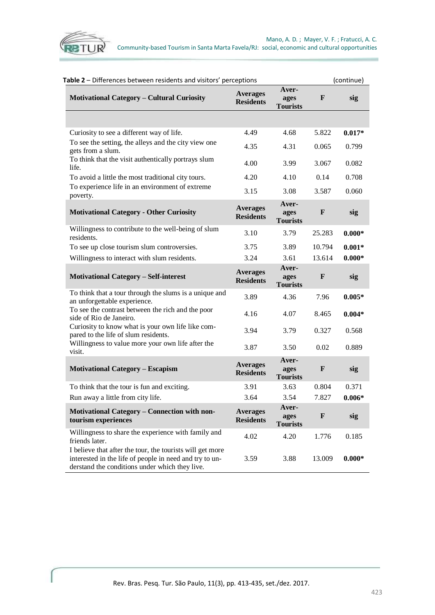

| Table 2 - Differences between residents and visitors' perceptions                                                                                                      |                                     |                                  | (continue)   |          |
|------------------------------------------------------------------------------------------------------------------------------------------------------------------------|-------------------------------------|----------------------------------|--------------|----------|
| <b>Motivational Category - Cultural Curiosity</b>                                                                                                                      | <b>Averages</b><br><b>Residents</b> | Aver-<br>ages<br><b>Tourists</b> | $\mathbf{F}$ | sig      |
|                                                                                                                                                                        |                                     |                                  |              |          |
| Curiosity to see a different way of life.                                                                                                                              | 4.49                                | 4.68                             | 5.822        | $0.017*$ |
| To see the setting, the alleys and the city view one<br>gets from a slum.                                                                                              | 4.35                                | 4.31                             | 0.065        | 0.799    |
| To think that the visit authentically portrays slum<br>life.                                                                                                           | 4.00                                | 3.99                             | 3.067        | 0.082    |
| To avoid a little the most traditional city tours.                                                                                                                     | 4.20                                | 4.10                             | 0.14         | 0.708    |
| To experience life in an environment of extreme<br>poverty.                                                                                                            | 3.15                                | 3.08                             | 3.587        | 0.060    |
| <b>Motivational Category - Other Curiosity</b>                                                                                                                         | <b>Averages</b><br><b>Residents</b> | Aver-<br>ages<br><b>Tourists</b> | $\mathbf{F}$ | sig      |
| Willingness to contribute to the well-being of slum<br>residents.                                                                                                      | 3.10                                | 3.79                             | 25.283       | $0.000*$ |
| To see up close tourism slum controversies.                                                                                                                            | 3.75                                | 3.89                             | 10.794       | $0.001*$ |
| Willingness to interact with slum residents.                                                                                                                           | 3.24                                | 3.61                             | 13.614       | $0.000*$ |
| <b>Motivational Category - Self-interest</b>                                                                                                                           | <b>Averages</b><br><b>Residents</b> | Aver-<br>ages<br><b>Tourists</b> | $\mathbf{F}$ | sig      |
| To think that a tour through the slums is a unique and<br>an unforgettable experience.                                                                                 | 3.89                                | 4.36                             | 7.96         | $0.005*$ |
| To see the contrast between the rich and the poor<br>side of Rio de Janeiro.                                                                                           | 4.16                                | 4.07                             | 8.465        | $0.004*$ |
| Curiosity to know what is your own life like com-<br>pared to the life of slum residents.                                                                              | 3.94                                | 3.79                             | 0.327        | 0.568    |
| Willingness to value more your own life after the<br>visit.                                                                                                            | 3.87                                | 3.50                             | 0.02         | 0.889    |
| <b>Motivational Category - Escapism</b>                                                                                                                                | <b>Averages</b><br><b>Residents</b> | Aver-<br>ages<br><b>Tourists</b> | $\mathbf{F}$ | sig      |
| To think that the tour is fun and exciting.                                                                                                                            | 3.91                                | 3.63                             | 0.804        | 0.371    |
| Run away a little from city life.                                                                                                                                      | 3.64                                | 3.54                             | 7.827        | $0.006*$ |
| <b>Motivational Category - Connection with non-</b><br>tourism experiences                                                                                             | <b>Averages</b><br><b>Residents</b> | Aver-<br>ages<br><b>Tourists</b> | $\mathbf{F}$ | sig      |
| Willingness to share the experience with family and<br>friends later.                                                                                                  | 4.02                                | 4.20                             | 1.776        | 0.185    |
| I believe that after the tour, the tourists will get more<br>interested in the life of people in need and try to un-<br>derstand the conditions under which they live. | 3.59                                | 3.88                             | 13.009       | $0.000*$ |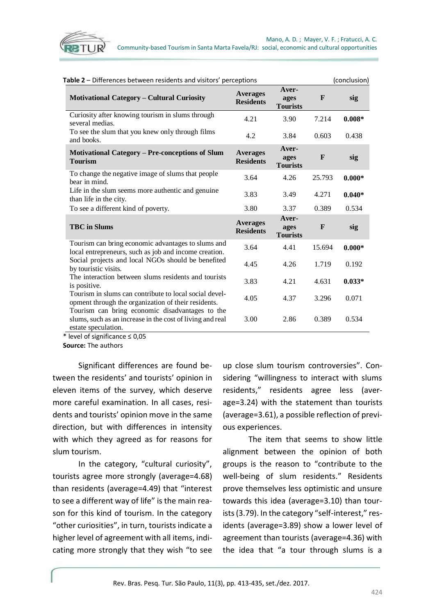

| Table 2 – Differences between residents and visitors' perceptions                                                                   |                                     |                                  |              | (conclusion) |  |
|-------------------------------------------------------------------------------------------------------------------------------------|-------------------------------------|----------------------------------|--------------|--------------|--|
| <b>Motivational Category - Cultural Curiosity</b>                                                                                   | <b>Averages</b><br><b>Residents</b> | Aver-<br>ages<br><b>Tourists</b> | $\mathbf{F}$ | sig          |  |
| Curiosity after knowing tourism in slums through<br>several medias.                                                                 | 4.21                                | 3.90                             | 7.214        | $0.008*$     |  |
| To see the slum that you knew only through films<br>and books.                                                                      | 4.2                                 | 3.84                             | 0.603        | 0.438        |  |
| <b>Motivational Category – Pre-conceptions of Slum</b><br><b>Tourism</b>                                                            | <b>Averages</b><br><b>Residents</b> | Aver-<br>ages<br><b>Tourists</b> | $\mathbf{F}$ | sig          |  |
| To change the negative image of slums that people<br>bear in mind.                                                                  | 3.64                                | 4.26                             | 25.793       | $0.000*$     |  |
| Life in the slum seems more authentic and genuine<br>than life in the city.                                                         | 3.83                                | 3.49                             | 4.271        | $0.040*$     |  |
| To see a different kind of poverty.                                                                                                 | 3.80                                | 3.37                             | 0.389        | 0.534        |  |
| <b>TBC</b> in Slums                                                                                                                 | <b>Averages</b><br><b>Residents</b> | Aver-<br>ages<br><b>Tourists</b> | $\mathbf{F}$ | sig          |  |
| Tourism can bring economic advantages to slums and<br>local entrepreneurs, such as job and income creation.                         | 3.64                                | 4.41                             | 15.694       | $0.000*$     |  |
| Social projects and local NGOs should be benefited<br>by touristic visits.                                                          | 4.45                                | 4.26                             | 1.719        | 0.192        |  |
| The interaction between slums residents and tourists<br>is positive.                                                                | 3.83                                | 4.21                             | 4.631        | $0.033*$     |  |
| Tourism in slums can contribute to local social devel-<br>opment through the organization of their residents.                       | 4.05                                | 4.37                             | 3.296        | 0.071        |  |
| Tourism can bring economic disadvantages to the<br>slums, such as an increase in the cost of living and real<br>estate speculation. | 3.00                                | 2.86                             | 0.389        | 0.534        |  |

\* level of significance ≤ 0,05

**Source:** The authors

Significant differences are found between the residents' and tourists' opinion in eleven items of the survey, which deserve more careful examination. In all cases, residents and tourists' opinion move in the same direction, but with differences in intensity with which they agreed as for reasons for slum tourism.

In the category, "cultural curiosity", tourists agree more strongly (average=4.68) than residents (average=4.49) that "interest to see a different way of life" is the main reason for this kind of tourism. In the category "other curiosities", in turn, tourists indicate a higher level of agreement with all items, indicating more strongly that they wish "to see up close slum tourism controversies". Considering "willingness to interact with slums residents," residents agree less (average=3.24) with the statement than tourists (average=3.61), a possible reflection of previous experiences.

The item that seems to show little alignment between the opinion of both groups is the reason to "contribute to the well-being of slum residents." Residents prove themselves less optimistic and unsure towards this idea (average=3.10) than tourists (3.79). In the category "self-interest," residents (average=3.89) show a lower level of agreement than tourists (average=4.36) with the idea that "a tour through slums is a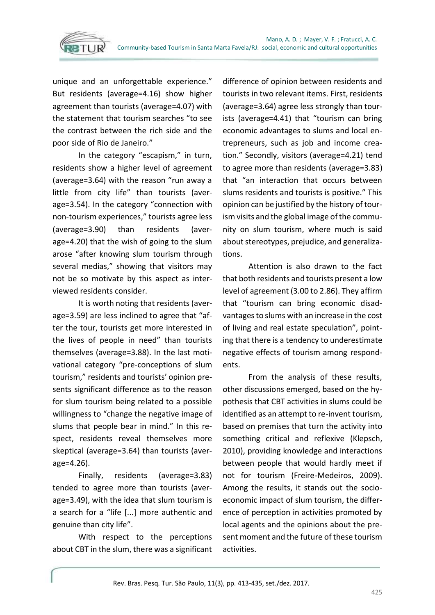

unique and an unforgettable experience." But residents (average=4.16) show higher agreement than tourists (average=4.07) with the statement that tourism searches "to see the contrast between the rich side and the poor side of Rio de Janeiro."

In the category "escapism," in turn, residents show a higher level of agreement (average=3.64) with the reason "run away a little from city life" than tourists (average=3.54). In the category "connection with non-tourism experiences," tourists agree less (average=3.90) than residents (average=4.20) that the wish of going to the slum arose "after knowing slum tourism through several medias," showing that visitors may not be so motivate by this aspect as interviewed residents consider.

It is worth noting that residents (average=3.59) are less inclined to agree that "after the tour, tourists get more interested in the lives of people in need" than tourists themselves (average=3.88). In the last motivational category "pre-conceptions of slum tourism," residents and tourists' opinion presents significant difference as to the reason for slum tourism being related to a possible willingness to "change the negative image of slums that people bear in mind." In this respect, residents reveal themselves more skeptical (average=3.64) than tourists (average=4.26).

Finally, residents (average=3.83) tended to agree more than tourists (average=3.49), with the idea that slum tourism is a search for a "life [...] more authentic and genuine than city life".

With respect to the perceptions about CBT in the slum, there was a significant difference of opinion between residents and tourists in two relevant items. First, residents (average=3.64) agree less strongly than tourists (average=4.41) that "tourism can bring economic advantages to slums and local entrepreneurs, such as job and income creation." Secondly, visitors (average=4.21) tend to agree more than residents (average=3.83) that "an interaction that occurs between slums residents and tourists is positive." This opinion can be justified by the history of tourism visits and the global image of the community on slum tourism, where much is said about stereotypes, prejudice, and generalizations.

Attention is also drawn to the fact that both residents and tourists present a low level of agreement (3.00 to 2.86). They affirm that "tourism can bring economic disadvantages to slums with an increase in the cost of living and real estate speculation", pointing that there is a tendency to underestimate negative effects of tourism among respondents.

From the analysis of these results, other discussions emerged, based on the hypothesis that CBT activities in slums could be identified as an attempt to re-invent tourism, based on premises that turn the activity into something critical and reflexive (Klepsch, 2010), providing knowledge and interactions between people that would hardly meet if not for tourism (Freire-Medeiros, 2009). Among the results, it stands out the socioeconomic impact of slum tourism, the difference of perception in activities promoted by local agents and the opinions about the present moment and the future of these tourism activities.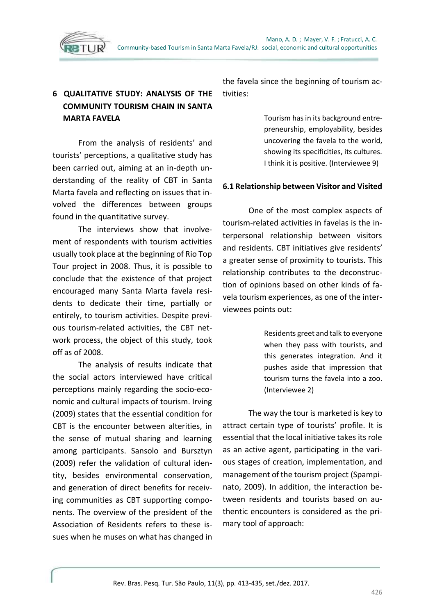

# **6 QUALITATIVE STUDY: ANALYSIS OF THE COMMUNITY TOURISM CHAIN IN SANTA MARTA FAVELA**

From the analysis of residents' and tourists' perceptions, a qualitative study has been carried out, aiming at an in-depth understanding of the reality of CBT in Santa Marta favela and reflecting on issues that involved the differences between groups found in the quantitative survey.

The interviews show that involvement of respondents with tourism activities usually took place at the beginning of Rio Top Tour project in 2008. Thus, it is possible to conclude that the existence of that project encouraged many Santa Marta favela residents to dedicate their time, partially or entirely, to tourism activities. Despite previous tourism-related activities, the CBT network process, the object of this study, took off as of 2008.

The analysis of results indicate that the social actors interviewed have critical perceptions mainly regarding the socio-economic and cultural impacts of tourism. Irving (2009) states that the essential condition for CBT is the encounter between alterities, in the sense of mutual sharing and learning among participants. Sansolo and Bursztyn (2009) refer the validation of cultural identity, besides environmental conservation, and generation of direct benefits for receiving communities as CBT supporting components. The overview of the president of the Association of Residents refers to these issues when he muses on what has changed in

the favela since the beginning of tourism activities:

> Tourism has in its background entrepreneurship, employability, besides uncovering the favela to the world, showing its specificities, its cultures. I think it is positive. (Interviewee 9)

#### **6.1 Relationship between Visitor and Visited**

One of the most complex aspects of tourism-related activities in favelas is the interpersonal relationship between visitors and residents. CBT initiatives give residents' a greater sense of proximity to tourists. This relationship contributes to the deconstruction of opinions based on other kinds of favela tourism experiences, as one of the interviewees points out:

> Residents greet and talk to everyone when they pass with tourists, and this generates integration. And it pushes aside that impression that tourism turns the favela into a zoo. (Interviewee 2)

The way the tour is marketed is key to attract certain type of tourists' profile. It is essential that the local initiative takes its role as an active agent, participating in the various stages of creation, implementation, and management of the tourism project (Spampinato, 2009). In addition, the interaction between residents and tourists based on authentic encounters is considered as the primary tool of approach: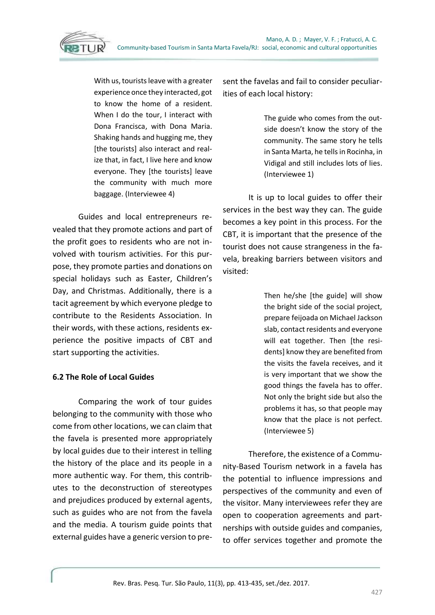With us, tourists leave with a greater experience once they interacted, got to know the home of a resident. When I do the tour, I interact with Dona Francisca, with Dona Maria. Shaking hands and hugging me, they [the tourists] also interact and realize that, in fact, I live here and know everyone. They [the tourists] leave the community with much more baggage. (Interviewee 4)

Guides and local entrepreneurs revealed that they promote actions and part of the profit goes to residents who are not involved with tourism activities. For this purpose, they promote parties and donations on special holidays such as Easter, Children's Day, and Christmas. Additionally, there is a tacit agreement by which everyone pledge to contribute to the Residents Association. In their words, with these actions, residents experience the positive impacts of CBT and start supporting the activities.

## **6.2 The Role of Local Guides**

Comparing the work of tour guides belonging to the community with those who come from other locations, we can claim that the favela is presented more appropriately by local guides due to their interest in telling the history of the place and its people in a more authentic way. For them, this contributes to the deconstruction of stereotypes and prejudices produced by external agents, such as guides who are not from the favela and the media. A tourism guide points that external guides have a generic version to present the favelas and fail to consider peculiarities of each local history:

> The guide who comes from the outside doesn't know the story of the community. The same story he tells in Santa Marta, he tells in Rocinha, in Vidigal and still includes lots of lies. (Interviewee 1)

It is up to local guides to offer their services in the best way they can. The guide becomes a key point in this process. For the CBT, it is important that the presence of the tourist does not cause strangeness in the favela, breaking barriers between visitors and visited:

> Then he/she [the guide] will show the bright side of the social project, prepare feijoada on Michael Jackson slab, contact residents and everyone will eat together. Then [the residents] know they are benefited from the visits the favela receives, and it is very important that we show the good things the favela has to offer. Not only the bright side but also the problems it has, so that people may know that the place is not perfect. (Interviewee 5)

Therefore, the existence of a Community-Based Tourism network in a favela has the potential to influence impressions and perspectives of the community and even of the visitor. Many interviewees refer they are open to cooperation agreements and partnerships with outside guides and companies, to offer services together and promote the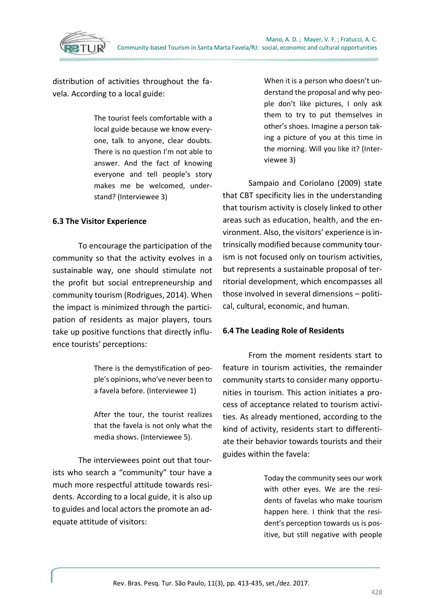

distribution of activities throughout the favela. According to a local guide:

> The tourist feels comfortable with a local guide because we know everyone, talk to anyone, clear doubts. There is no question I'm not able to answer. And the fact of knowing everyone and tell people's story makes me be welcomed, understand? (Interviewee 3)

#### **6.3 The Visitor Experience**

To encourage the participation of the community so that the activity evolves in a sustainable way, one should stimulate not the profit but social entrepreneurship and community tourism (Rodrigues, 2014). When the impact is minimized through the participation of residents as major players, tours take up positive functions that directly influence tourists' perceptions:

> There is the demystification of people's opinions, who've never been to a favela before. (Interviewee 1)

> After the tour, the tourist realizes that the favela is not only what the media shows. (Interviewee 5).

The interviewees point out that tourists who search a "community" tour have a much more respectful attitude towards residents. According to a local guide, it is also up to guides and local actors the promote an adequate attitude of visitors:

When it is a person who doesn't understand the proposal and why people don't like pictures, I only ask them to try to put themselves in other's shoes. Imagine a person taking a picture of you at this time in the morning. Will you like it? (Interviewee 3)

Sampaio and Coriolano (2009) state that CBT specificity lies in the understanding that tourism activity is closely linked to other areas such as education, health, and the environment. Also, the visitors' experience is intrinsically modified because community tourism is not focused only on tourism activities, but represents a sustainable proposal of territorial development, which encompasses all those involved in several dimensions – political, cultural, economic, and human.

#### **6.4 The Leading Role of Residents**

From the moment residents start to feature in tourism activities, the remainder community starts to consider many opportunities in tourism. This action initiates a process of acceptance related to tourism activities. As already mentioned, according to the kind of activity, residents start to differentiate their behavior towards tourists and their guides within the favela:

> Today the community sees our work with other eyes. We are the residents of favelas who make tourism happen here. I think that the resident's perception towards us is positive, but still negative with people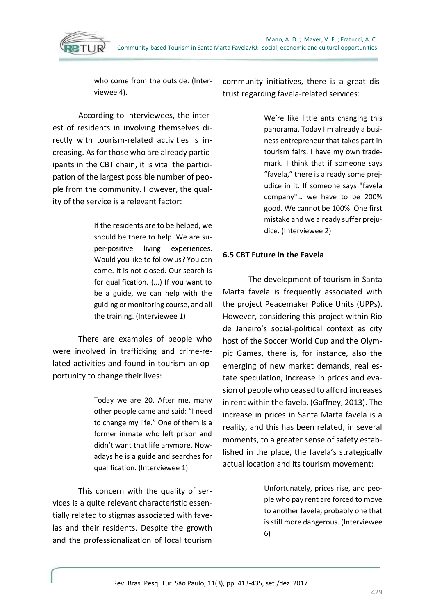

who come from the outside. (Interviewee 4).

According to interviewees, the interest of residents in involving themselves directly with tourism-related activities is increasing. As for those who are already participants in the CBT chain, it is vital the participation of the largest possible number of people from the community. However, the quality of the service is a relevant factor:

> If the residents are to be helped, we should be there to help. We are super-positive living experiences. Would you like to follow us? You can come. It is not closed. Our search is for qualification. (...) If you want to be a guide, we can help with the guiding or monitoring course, and all the training. (Interviewee 1)

There are examples of people who were involved in trafficking and crime-related activities and found in tourism an opportunity to change their lives:

> Today we are 20. After me, many other people came and said: "I need to change my life." One of them is a former inmate who left prison and didn't want that life anymore. Nowadays he is a guide and searches for qualification. (Interviewee 1).

This concern with the quality of services is a quite relevant characteristic essentially related to stigmas associated with favelas and their residents. Despite the growth and the professionalization of local tourism

community initiatives, there is a great distrust regarding favela-related services:

> We're like little ants changing this panorama. Today I'm already a business entrepreneur that takes part in tourism fairs, I have my own trademark. I think that if someone says "favela," there is already some prejudice in it. If someone says "favela company"… we have to be 200% good. We cannot be 100%. One first mistake and we already suffer prejudice. (Interviewee 2)

## **6.5 CBT Future in the Favela**

The development of tourism in Santa Marta favela is frequently associated with the project Peacemaker Police Units (UPPs). However, considering this project within Rio de Janeiro's social-political context as city host of the Soccer World Cup and the Olympic Games, there is, for instance, also the emerging of new market demands, real estate speculation, increase in prices and evasion of people who ceased to afford increases in rent within the favela. (Gaffney, 2013). The increase in prices in Santa Marta favela is a reality, and this has been related, in several moments, to a greater sense of safety established in the place, the favela's strategically actual location and its tourism movement:

> Unfortunately, prices rise, and people who pay rent are forced to move to another favela, probably one that is still more dangerous. (Interviewee 6)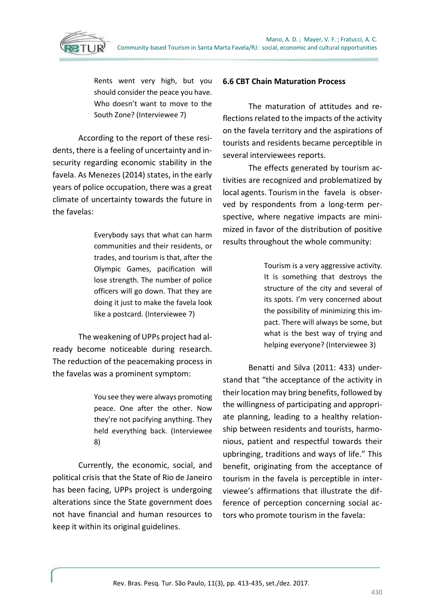

Rents went very high, but you should consider the peace you have. Who doesn't want to move to the South Zone? (Interviewee 7)

According to the report of these residents, there is a feeling of uncertainty and insecurity regarding economic stability in the favela. As Menezes (2014) states, in the early years of police occupation, there was a great climate of uncertainty towards the future in the favelas:

> Everybody says that what can harm communities and their residents, or trades, and tourism is that, after the Olympic Games, pacification will lose strength. The number of police officers will go down. That they are doing it just to make the favela look like a postcard. (Interviewee 7)

The weakening of UPPs project had already become noticeable during research. The reduction of the peacemaking process in the favelas was a prominent symptom:

> You see they were always promoting peace. One after the other. Now they're not pacifying anything. They held everything back. (Interviewee 8)

Currently, the economic, social, and political crisis that the State of Rio de Janeiro has been facing, UPPs project is undergoing alterations since the State government does not have financial and human resources to keep it within its original guidelines.

#### **6.6 CBT Chain Maturation Process**

The maturation of attitudes and reflections related to the impacts of the activity on the favela territory and the aspirations of tourists and residents became perceptible in several interviewees reports.

The effects generated by tourism activities are recognized and problematized by local agents. Tourism in the favela is observed by respondents from a long-term perspective, where negative impacts are minimized in favor of the distribution of positive results throughout the whole community:

> Tourism is a very aggressive activity. It is something that destroys the structure of the city and several of its spots. I'm very concerned about the possibility of minimizing this impact. There will always be some, but what is the best way of trying and helping everyone? (Interviewee 3)

Benatti and Silva (2011: 433) understand that "the acceptance of the activity in their location may bring benefits, followed by the willingness of participating and appropriate planning, leading to a healthy relationship between residents and tourists, harmonious, patient and respectful towards their upbringing, traditions and ways of life." This benefit, originating from the acceptance of tourism in the favela is perceptible in interviewee's affirmations that illustrate the difference of perception concerning social actors who promote tourism in the favela: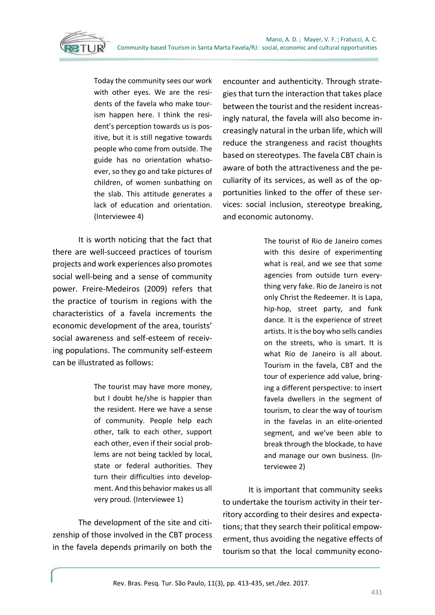Today the community sees our work with other eyes. We are the residents of the favela who make tourism happen here. I think the resident's perception towards us is positive, but it is still negative towards people who come from outside. The guide has no orientation whatsoever, so they go and take pictures of children, of women sunbathing on the slab. This attitude generates a lack of education and orientation. (Interviewee 4)

It is worth noticing that the fact that there are well-succeed practices of tourism projects and work experiences also promotes social well-being and a sense of community power. Freire-Medeiros (2009) refers that the practice of tourism in regions with the characteristics of a favela increments the economic development of the area, tourists' social awareness and self-esteem of receiving populations. The community self-esteem can be illustrated as follows:

> The tourist may have more money, but I doubt he/she is happier than the resident. Here we have a sense of community. People help each other, talk to each other, support each other, even if their social problems are not being tackled by local, state or federal authorities. They turn their difficulties into development. And this behavior makes us all very proud. (Interviewee 1)

The development of the site and citizenship of those involved in the CBT process in the favela depends primarily on both the encounter and authenticity. Through strategies that turn the interaction that takes place between the tourist and the resident increasingly natural, the favela will also become increasingly natural in the urban life, which will reduce the strangeness and racist thoughts based on stereotypes. The favela CBT chain is aware of both the attractiveness and the peculiarity of its services, as well as of the opportunities linked to the offer of these services: social inclusion, stereotype breaking, and economic autonomy.

> The tourist of Rio de Janeiro comes with this desire of experimenting what is real, and we see that some agencies from outside turn everything very fake. Rio de Janeiro is not only Christ the Redeemer. It is Lapa, hip-hop, street party, and funk dance. It is the experience of street artists. It is the boy who sells candies on the streets, who is smart. It is what Rio de Janeiro is all about. Tourism in the favela, CBT and the tour of experience add value, bringing a different perspective: to insert favela dwellers in the segment of tourism, to clear the way of tourism in the favelas in an elite-oriented segment, and we've been able to break through the blockade, to have and manage our own business. (Interviewee 2)

It is important that community seeks to undertake the tourism activity in their territory according to their desires and expectations; that they search their political empowerment, thus avoiding the negative effects of tourism so that the local community econo-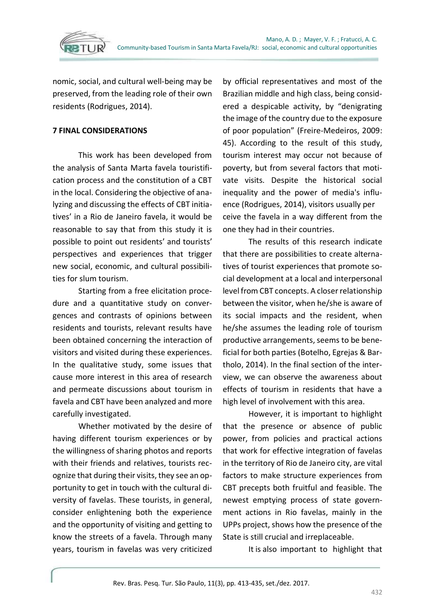

nomic, social, and cultural well-being may be preserved, from the leading role of their own residents (Rodrigues, 2014).

#### **7 FINAL CONSIDERATIONS**

This work has been developed from the analysis of Santa Marta favela touristification process and the constitution of a CBT in the local. Considering the objective of analyzing and discussing the effects of CBT initiatives' in a Rio de Janeiro favela, it would be reasonable to say that from this study it is possible to point out residents' and tourists' perspectives and experiences that trigger new social, economic, and cultural possibilities for slum tourism.

Starting from a free elicitation procedure and a quantitative study on convergences and contrasts of opinions between residents and tourists, relevant results have been obtained concerning the interaction of visitors and visited during these experiences. In the qualitative study, some issues that cause more interest in this area of research and permeate discussions about tourism in favela and CBT have been analyzed and more carefully investigated.

Whether motivated by the desire of having different tourism experiences or by the willingness of sharing photos and reports with their friends and relatives, tourists recognize that during their visits, they see an opportunity to get in touch with the cultural diversity of favelas. These tourists, in general, consider enlightening both the experience and the opportunity of visiting and getting to know the streets of a favela. Through many years, tourism in favelas was very criticized

by official representatives and most of the Brazilian middle and high class, being considered a despicable activity, by "denigrating the image of the country due to the exposure of poor population" (Freire-Medeiros, 2009: 45). According to the result of this study, tourism interest may occur not because of poverty, but from several factors that motivate visits. Despite the historical social inequality and the power of media's influence (Rodrigues, 2014), visitors usually per ceive the favela in a way different from the one they had in their countries.

The results of this research indicate that there are possibilities to create alternatives of tourist experiences that promote social development at a local and interpersonal level from CBT concepts. A closer relationship between the visitor, when he/she is aware of its social impacts and the resident, when he/she assumes the leading role of tourism productive arrangements, seems to be beneficial for both parties (Botelho, Egrejas & Bartholo, 2014). In the final section of the interview, we can observe the awareness about effects of tourism in residents that have a high level of involvement with this area.

However, it is important to highlight that the presence or absence of public power, from policies and practical actions that work for effective integration of favelas in the territory of Rio de Janeiro city, are vital factors to make structure experiences from CBT precepts both fruitful and feasible. The newest emptying process of state government actions in Rio favelas, mainly in the UPPs project, shows how the presence of the State is still crucial and irreplaceable.

It is also important to highlight that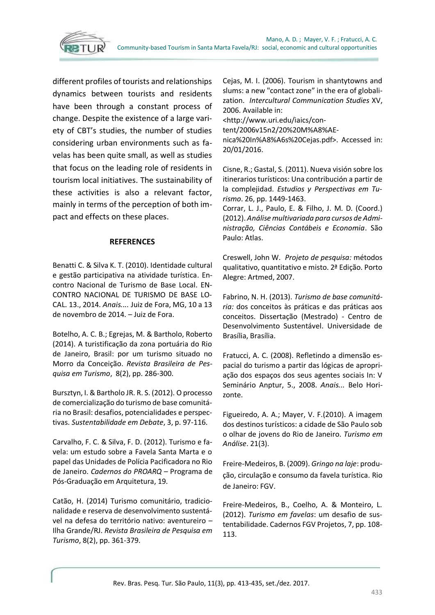

different profiles of tourists and relationships dynamics between tourists and residents have been through a constant process of change. Despite the existence of a large variety of CBT's studies, the number of studies considering urban environments such as favelas has been quite small, as well as studies that focus on the leading role of residents in tourism local initiatives. The sustainability of these activities is also a relevant factor, mainly in terms of the perception of both impact and effects on these places.

#### **REFERENCES**

Benatti C. & Silva K. T. (2010). Identidade cultural e gestão participativa na atividade turística. Encontro Nacional de Turismo de Base Local. EN-CONTRO NACIONAL DE TURISMO DE BASE LO-CAL. 13., 2014. *Anais....* Juiz de Fora, MG, 10 a 13 de novembro de 2014. – Juiz de Fora.

Botelho, A. C. B.; Egrejas, M. & Bartholo, Roberto (2014). A turistificação da zona portuária do Rio de Janeiro, Brasil: por um turismo situado no Morro da Conceição. *Revista Brasileira de Pesquisa em Turismo*, 8(2), pp. 286-300.

Bursztyn, I. & Bartholo JR. R. S. (2012). O processo de comercialização do turismo de base comunitária no Brasil: desafios, potencialidades e perspectivas. *Sustentabilidade em Debate*, 3, p. 97-116.

Carvalho, F. C. & Silva, F. D. (2012). Turismo e favela: um estudo sobre a Favela Santa Marta e o papel das Unidades de Polícia Pacificadora no Rio de Janeiro. *Cadernos do PROARQ* – Programa de Pós-Graduação em Arquitetura, 19.

Catão, H. (2014) Turismo comunitário, tradicionalidade e reserva de desenvolvimento sustentável na defesa do território nativo: aventureiro – Ilha Grande/RJ. *Revista Brasileira de Pesquisa em Turismo*, 8(2), pp. 361-379.

Cejas, M. I. (2006). Tourism in shantytowns and slums: a new "contact zone" in the era of globalization. *Intercultural Communication Studies* XV, 2006. Available in:

<http://www.uri.edu/iaics/con-

tent/2006v15n2/20%20M%A8%AE-

nica%20In%A8%A6s%20Cejas.pdf>. Accessed in: 20/01/2016.

Cisne, R.; Gastal, S. (2011). Nueva visión sobre los itinerarios turísticos: Una contribución a partir de la complejidad. *Estudios y Perspectivas em Turismo*. 26, pp. 1449-1463.

Corrar, L. J., Paulo, E. & Filho, J. M. D. (Coord.) (2012). *Análise multivariada para cursos de Administração, Ciências Contábeis e Economia*. São Paulo: Atlas.

Creswell, John W. *Projeto de pesquisa:* métodos qualitativo, quantitativo e misto. 2ª Edição. Porto Alegre: Artmed, 2007.

Fabrino, N. H. (2013). *Turismo de base comunitária:* dos conceitos às práticas e das práticas aos conceitos. Dissertação (Mestrado) - Centro de Desenvolvimento Sustentável. Universidade de Brasília, Brasília.

Fratucci, A. C. (2008). Refletindo a dimensão espacial do turismo a partir das lógicas de apropriação dos espaços dos seus agentes sociais In: V Seminário Anptur, 5., 2008. *Anais...* Belo Horizonte.

Figueiredo, A. A.; Mayer, V. F.(2010). A imagem dos destinos turísticos: a cidade de São Paulo sob o olhar de jovens do Rio de Janeiro. *Turismo em Análise*. 21(3).

Freire-Medeiros, B. (2009). *Gringo na laje*: produção, circulação e consumo da favela turística. Rio de Janeiro: FGV.

Freire-Medeiros, B., Coelho, A. & Monteiro, L. (2012). *Turismo em favelas*: um desafio de sustentabilidade. Cadernos FGV Projetos, 7, pp. 108- 113.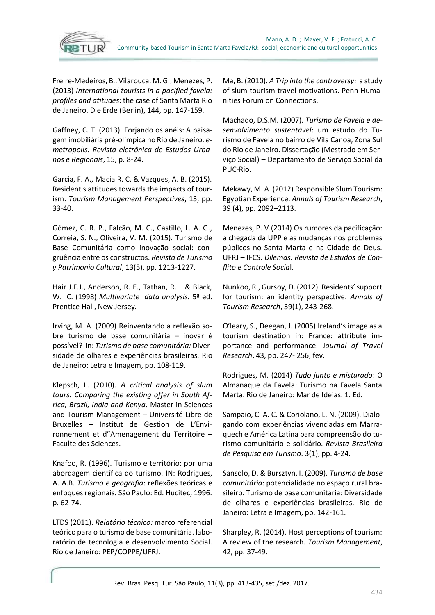

Freire-Medeiros, B., Vilarouca, M. G., Menezes, P. (2013) *International tourists in a pacified favela: profiles and atitudes*: the case of Santa Marta Rio de Janeiro. Die Erde (Berlin), 144, pp. 147-159.

Gaffney, C. T. (2013). Forjando os anéis: A paisagem imobiliária pré-olímpica no Rio de Janeiro. *emetropolis: Revista eletrônica de Estudos Urbanos e Regionais*, 15, p. 8-24.

Garcia, F. A., Macia R. C. & Vazques, A. B. (2015). Resident's attitudes towards the impacts of tourism. *Tourism Management Perspectives*, 13, pp. 33-40.

Gómez, C. R. P., Falcão, M. C., Castillo, L. A. G., Correia, S. N., Oliveira, V. M. (2015). Turismo de Base Comunitária como inovação social: congruência entre os constructos. *Revista de Turismo y Patrimonio Cultural*, 13(5), pp. 1213-1227.

Hair J.F.J., Anderson, R. E., Tathan, R. L & Black, W. C. (1998) *Multivariate data analysis.* 5ª ed. Prentice Hall, New Jersey.

Irving, M. A. (2009) Reinventando a reflexão sobre turismo de base comunitária – inovar é possível? In: *Turismo de base comunitária:* Diversidade de olhares e experiências brasileiras. Rio de Janeiro: Letra e Imagem, pp. 108-119.

Klepsch, L. (2010). *A critical analysis of slum tours: Comparing the existing offer in South Africa, Brazil, India and Kenya*. Master in Sciences and Tourism Management – Université Libre de Bruxelles – Institut de Gestion de L'Environnement et d"Amenagement du Territoire – Faculte des Sciences.

Knafoo, R. (1996). Turismo e território: por uma abordagem científica do turismo. IN: Rodrigues, A. A.B. *Turismo e geografia*: reflexões teóricas e enfoques regionais*.* São Paulo: Ed. Hucitec, 1996. p. 62-74.

LTDS (2011). *Relatório técnico:* marco referencial teórico para o turismo de base comunitária. laboratório de tecnologia e desenvolvimento Social. Rio de Janeiro: PEP/COPPE/UFRJ.

Ma, B. (2010). *A Trip into the controversy:* a study of slum tourism travel motivations. Penn Humanities Forum on Connections.

Machado, D.S.M. (2007). *Turismo de Favela e desenvolvimento sustentável*: um estudo do Turismo de Favela no bairro de Vila Canoa, Zona Sul do Rio de Janeiro. Dissertação (Mestrado em Serviço Social) – Departamento de Serviço Social da PUC-Rio.

Mekawy, M. A. (2012) Responsible Slum Tourism: Egyptian Experience. *Annals of Tourism Research*, 39 (4), pp. 2092–2113.

Menezes, P. V.(2014) Os rumores da pacificação: a chegada da UPP e as mudanças nos problemas públicos no Santa Marta e na Cidade de Deus. UFRJ – IFCS. *Dilemas: Revista de Estudos de Conflito e Controle Socia*l.

Nunkoo, R., Gursoy, D. (2012). Residents' support for tourism: an identity perspective. *Annals of Tourism Research*, 39(1), 243-268.

O'leary, S., Deegan, J. (2005) Ireland's image as a tourism destination in: France: attribute importance and performance. J*ournal of Travel Research*, 43, pp. 247- 256, fev.

Rodrigues, M. (2014) *Tudo junto e misturado*: O Almanaque da Favela: Turismo na Favela Santa Marta. Rio de Janeiro: Mar de Ideias. 1. Ed.

Sampaio, C. A. C. & Coriolano, L. N. (2009). Dialogando com experiências vivenciadas em Marraquech e América Latina para compreensão do turismo comunitário e solidário. *Revista Brasileira de Pesquisa em Turismo*. 3(1), pp. 4-24.

Sansolo, D. & Bursztyn, I. (2009). *Turismo de base comunitária*: potencialidade no espaço rural brasileiro. Turismo de base comunitária: Diversidade de olhares e experiências brasileiras. Rio de Janeiro: Letra e Imagem, pp. 142-161.

Sharpley, R. (2014). Host perceptions of tourism: A review of the research. *Tourism Management*, 42, pp. 37-49.